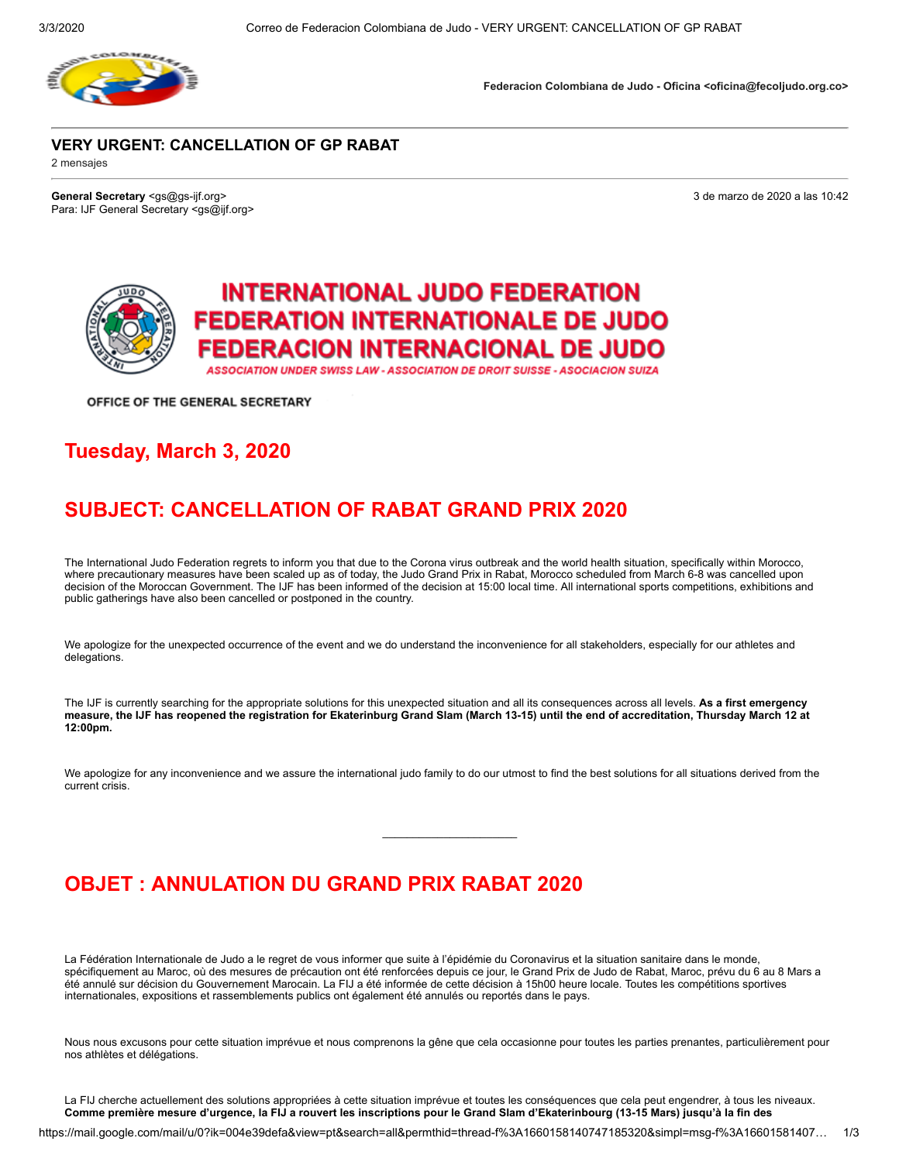

**Federacion Colombiana de Judo - Oficina <oficina@fecoljudo.org.co>**

#### **VERY URGENT: CANCELLATION OF GP RABAT**

2 mensajes

**General Secretary** <gs@gs-ijf.org> 3 de marzo de 2020 a las 10:42 Para: IJF General Secretary <gs@ijf.org>

## **INTERNATIONAL JUDO FEDERATION FEDERATION INTERNATIONALE DE JUDO** FEDERACION INTERNACIONAL DE JUDO

ASSOCIATION UNDER SWISS LAW - ASSOCIATION DE DROIT SUISSE - ASOCIACION SUIZA

OFFICE OF THE GENERAL SECRETARY

#### **Tuesday, March 3, 2020**

### **SUBJECT: CANCELLATION OF RABAT GRAND PRIX 2020**

The International Judo Federation regrets to inform you that due to the Corona virus outbreak and the world health situation, specifically within Morocco, where precautionary measures have been scaled up as of today, the Judo Grand Prix in Rabat, Morocco scheduled from March 6-8 was cancelled upon decision of the Moroccan Government. The IJF has been informed of the decision at 15:00 local time. All international sports competitions, exhibitions and public gatherings have also been cancelled or postponed in the country.

We apologize for the unexpected occurrence of the event and we do understand the inconvenience for all stakeholders, especially for our athletes and delegations.

The IJF is currently searching for the appropriate solutions for this unexpected situation and all its consequences across all levels. **As a first emergency measure, the IJF has reopened the registration for Ekaterinburg Grand Slam (March 13-15) until the end of accreditation, Thursday March 12 at 12:00pm.**

We apologize for any inconvenience and we assure the international judo family to do our utmost to find the best solutions for all situations derived from the current crisis.

\_\_\_\_\_\_\_\_\_\_\_\_\_\_\_\_\_\_\_\_\_\_

### **OBJET : ANNULATION DU GRAND PRIX RABAT 2020**

La Fédération Internationale de Judo a le regret de vous informer que suite à l'épidémie du Coronavirus et la situation sanitaire dans le monde, spécifiquement au Maroc, où des mesures de précaution ont été renforcées depuis ce jour, le Grand Prix de Judo de Rabat, Maroc, prévu du 6 au 8 Mars a été annulé sur décision du Gouvernement Marocain. La FIJ a été informée de cette décision à 15h00 heure locale. Toutes les compétitions sportives internationales, expositions et rassemblements publics ont également été annulés ou reportés dans le pays.

Nous nous excusons pour cette situation imprévue et nous comprenons la gêne que cela occasionne pour toutes les parties prenantes, particulièrement pour nos athlètes et délégations.

La FIJ cherche actuellement des solutions appropriées à cette situation imprévue et toutes les conséquences que cela peut engendrer, à tous les niveaux. **Comme première mesure d'urgence, la FIJ a rouvert les inscriptions pour le Grand Slam d'Ekaterinbourg (13-15 Mars) jusqu'à la fin des**

https://mail.google.com/mail/u/0?ik=004e39defa&view=pt&search=all&permthid=thread-f%3A1660158140747185320&simpl=msg-f%3A16601581407… 1/3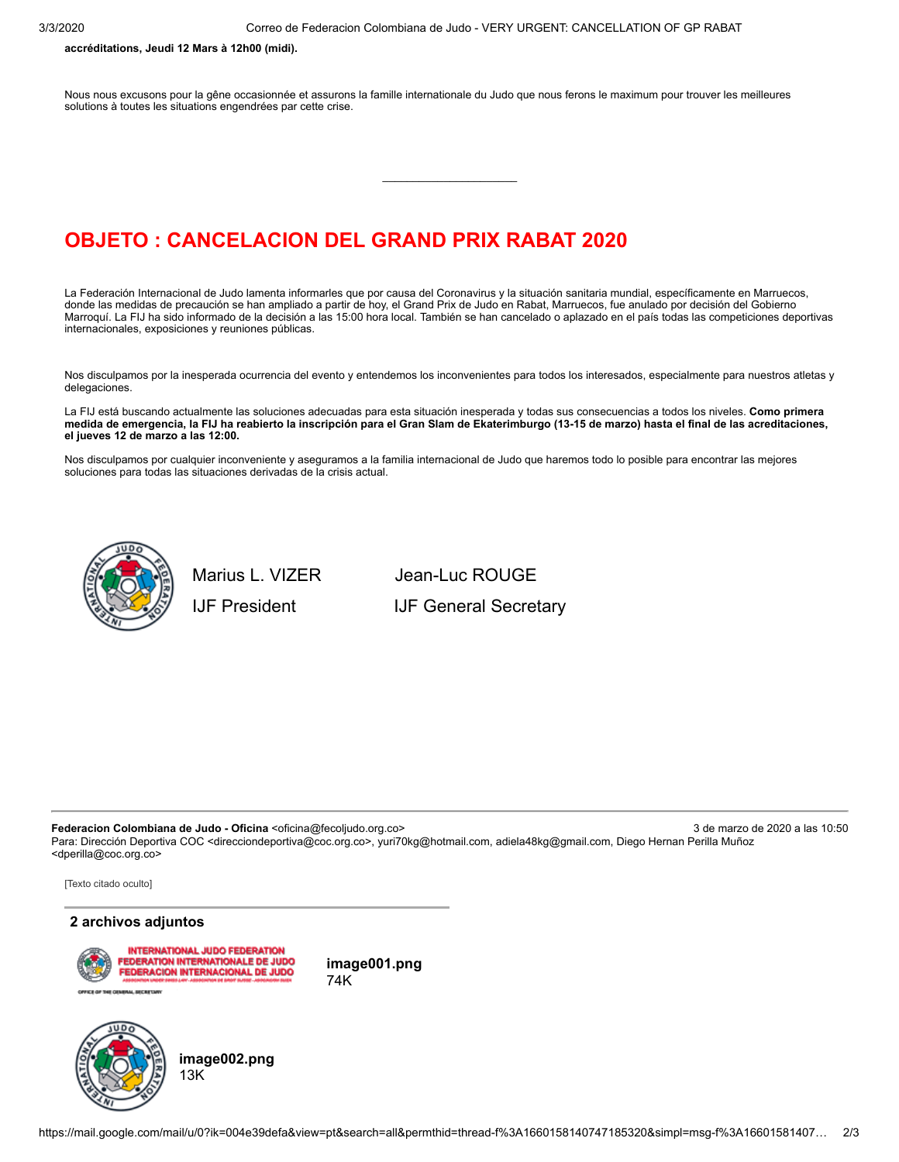**accréditations, Jeudi 12 Mars à 12h00 (midi).**

Nous nous excusons pour la gêne occasionnée et assurons la famille internationale du Judo que nous ferons le maximum pour trouver les meilleures solutions à toutes les situations engendrées par cette crise.

#### **OBJETO : CANCELACION DEL GRAND PRIX RABAT 2020**

La Federación Internacional de Judo lamenta informarles que por causa del Coronavirus y la situación sanitaria mundial, específicamente en Marruecos, donde las medidas de precaución se han ampliado a partir de hoy, el Grand Prix de Judo en Rabat, Marruecos, fue anulado por decisión del Gobierno Marroquí. La FIJ ha sido informado de la decisión a las 15:00 hora local. También se han cancelado o aplazado en el país todas las competiciones deportivas internacionales, exposiciones y reuniones públicas.

\_\_\_\_\_\_\_\_\_\_\_\_\_\_\_\_\_\_\_\_\_\_

Nos disculpamos por la inesperada ocurrencia del evento y entendemos los inconvenientes para todos los interesados, especialmente para nuestros atletas y delegaciones.

La FIJ está buscando actualmente las soluciones adecuadas para esta situación inesperada y todas sus consecuencias a todos los niveles. **Como primera medida de emergencia, la FIJ ha reabierto la inscripción para el Gran Slam de Ekaterimburgo (13-15 de marzo) hasta el final de las acreditaciones, el jueves 12 de marzo a las 12:00.**

Nos disculpamos por cualquier inconveniente y aseguramos a la familia internacional de Judo que haremos todo lo posible para encontrar las mejores soluciones para todas las situaciones derivadas de la crisis actual.



Marius L. VIZER Jean-Luc ROUGE IJF President **IIF General Secretary** 

Federacion Colombiana de Judo - Oficina <oficina@fecoljudo.org.co> 3 de marzo de 2020 a las 10:50 Para: Dirección Deportiva COC <direcciondeportiva@coc.org.co>, yuri70kg@hotmail.com, adiela48kg@gmail.com, Diego Hernan Perilla Muñoz <dperilla@coc.org.co>

[Texto citado oculto]

#### **2 archivos adjuntos**



**image001.png** 74K



**image002.png** 13K